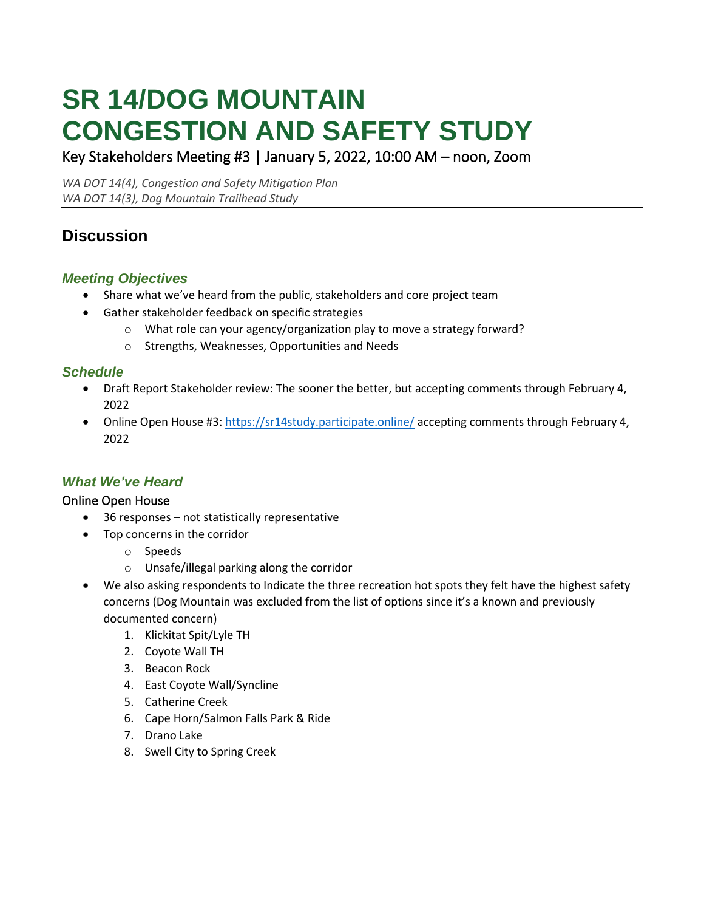# **SR 14/DOG MOUNTAIN CONGESTION AND SAFETY STUDY**

Key Stakeholders Meeting #3 | January 5, 2022, 10:00 AM – noon, Zoom

*WA DOT 14(4), Congestion and Safety Mitigation Plan WA DOT 14(3), Dog Mountain Trailhead Study*

# **Discussion**

# *Meeting Objectives*

- Share what we've heard from the public, stakeholders and core project team
- Gather stakeholder feedback on specific strategies
	- o What role can your agency/organization play to move a strategy forward?
	- o Strengths, Weaknesses, Opportunities and Needs

## *Schedule*

- Draft Report Stakeholder review: The sooner the better, but accepting comments through February 4, 2022
- Online Open House #3:<https://sr14study.participate.online/> accepting comments through February 4, 2022

## *What We've Heard*

## Online Open House

- 36 responses not statistically representative
- Top concerns in the corridor
	- o Speeds
	- o Unsafe/illegal parking along the corridor
- We also asking respondents to Indicate the three recreation hot spots they felt have the highest safety concerns (Dog Mountain was excluded from the list of options since it's a known and previously documented concern)
	- 1. Klickitat Spit/Lyle TH
	- 2. Coyote Wall TH
	- 3. Beacon Rock
	- 4. East Coyote Wall/Syncline
	- 5. Catherine Creek
	- 6. Cape Horn/Salmon Falls Park & Ride
	- 7. Drano Lake
	- 8. Swell City to Spring Creek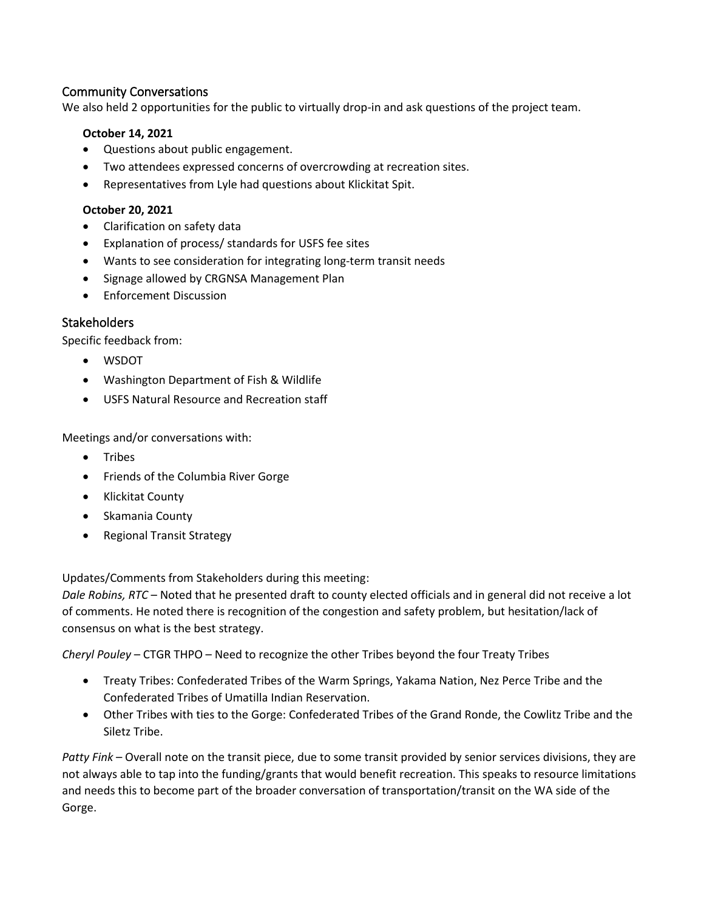#### Community Conversations

We also held 2 opportunities for the public to virtually drop-in and ask questions of the project team.

#### **October 14, 2021**

- Questions about public engagement.
- Two attendees expressed concerns of overcrowding at recreation sites.
- Representatives from Lyle had questions about Klickitat Spit.

#### **October 20, 2021**

- Clarification on safety data
- Explanation of process/ standards for USFS fee sites
- Wants to see consideration for integrating long-term transit needs
- Signage allowed by CRGNSA Management Plan
- Enforcement Discussion

#### **Stakeholders**

Specific feedback from:

- WSDOT
- Washington Department of Fish & Wildlife
- USFS Natural Resource and Recreation staff

Meetings and/or conversations with:

- Tribes
- Friends of the Columbia River Gorge
- Klickitat County
- Skamania County
- Regional Transit Strategy

Updates/Comments from Stakeholders during this meeting:

*Dale Robins, RTC* – Noted that he presented draft to county elected officials and in general did not receive a lot of comments. He noted there is recognition of the congestion and safety problem, but hesitation/lack of consensus on what is the best strategy.

*Cheryl Pouley* – CTGR THPO – Need to recognize the other Tribes beyond the four Treaty Tribes

- Treaty Tribes: Confederated Tribes of the Warm Springs, Yakama Nation, Nez Perce Tribe and the Confederated Tribes of Umatilla Indian Reservation.
- Other Tribes with ties to the Gorge: Confederated Tribes of the Grand Ronde, the Cowlitz Tribe and the Siletz Tribe.

*Patty Fink* – Overall note on the transit piece, due to some transit provided by senior services divisions, they are not always able to tap into the funding/grants that would benefit recreation. This speaks to resource limitations and needs this to become part of the broader conversation of transportation/transit on the WA side of the Gorge.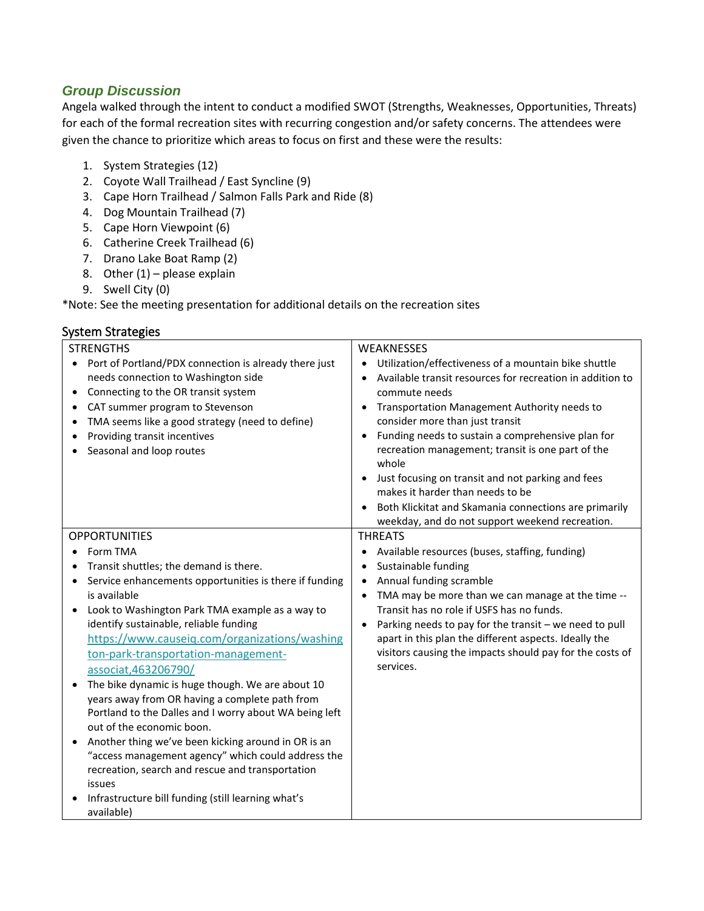## *Group Discussion*

Angela walked through the intent to conduct a modified SWOT (Strengths, Weaknesses, Opportunities, Threats) for each of the formal recreation sites with recurring congestion and/or safety concerns. The attendees were given the chance to prioritize which areas to focus on first and these were the results:

- 1. System Strategies (12)
- 2. Coyote Wall Trailhead / East Syncline (9)
- 3. Cape Horn Trailhead / Salmon Falls Park and Ride (8)
- 4. Dog Mountain Trailhead (7)
- 5. Cape Horn Viewpoint (6)
- 6. Catherine Creek Trailhead (6)
- 7. Drano Lake Boat Ramp (2)
- 8. Other  $(1)$  please explain
- 9. Swell City (0)

\*Note: See the meeting presentation for additional details on the recreation sites

| <b>STRENGTHS</b><br>Port of Portland/PDX connection is already there just<br>needs connection to Washington side<br>Connecting to the OR transit system<br>CAT summer program to Stevenson<br>TMA seems like a good strategy (need to define)<br>Providing transit incentives<br>Seasonal and loop routes                                                                                                                                                                                                                                                                                                                                                                                                                                                                                                     | WEAKNESSES<br>Utilization/effectiveness of a mountain bike shuttle<br>Available transit resources for recreation in addition to<br>commute needs<br>Transportation Management Authority needs to<br>consider more than just transit<br>Funding needs to sustain a comprehensive plan for<br>recreation management; transit is one part of the<br>whole<br>Just focusing on transit and not parking and fees<br>makes it harder than needs to be<br>Both Klickitat and Skamania connections are primarily<br>weekday, and do not support weekend recreation. |
|---------------------------------------------------------------------------------------------------------------------------------------------------------------------------------------------------------------------------------------------------------------------------------------------------------------------------------------------------------------------------------------------------------------------------------------------------------------------------------------------------------------------------------------------------------------------------------------------------------------------------------------------------------------------------------------------------------------------------------------------------------------------------------------------------------------|-------------------------------------------------------------------------------------------------------------------------------------------------------------------------------------------------------------------------------------------------------------------------------------------------------------------------------------------------------------------------------------------------------------------------------------------------------------------------------------------------------------------------------------------------------------|
| <b>OPPORTUNITIES</b><br>Form TMA<br>Transit shuttles; the demand is there.<br>Service enhancements opportunities is there if funding<br>is available<br>Look to Washington Park TMA example as a way to<br>identify sustainable, reliable funding<br>https://www.causeig.com/organizations/washing<br>ton-park-transportation-management-<br>associat, 463206790/<br>The bike dynamic is huge though. We are about 10<br>years away from OR having a complete path from<br>Portland to the Dalles and I worry about WA being left<br>out of the economic boon.<br>Another thing we've been kicking around in OR is an<br>"access management agency" which could address the<br>recreation, search and rescue and transportation<br>issues<br>Infrastructure bill funding (still learning what's<br>available) | <b>THREATS</b><br>Available resources (buses, staffing, funding)<br>Sustainable funding<br>Annual funding scramble<br>$\bullet$<br>TMA may be more than we can manage at the time --<br>Transit has no role if USFS has no funds.<br>Parking needs to pay for the transit - we need to pull<br>apart in this plan the different aspects. Ideally the<br>visitors causing the impacts should pay for the costs of<br>services.                                                                                                                               |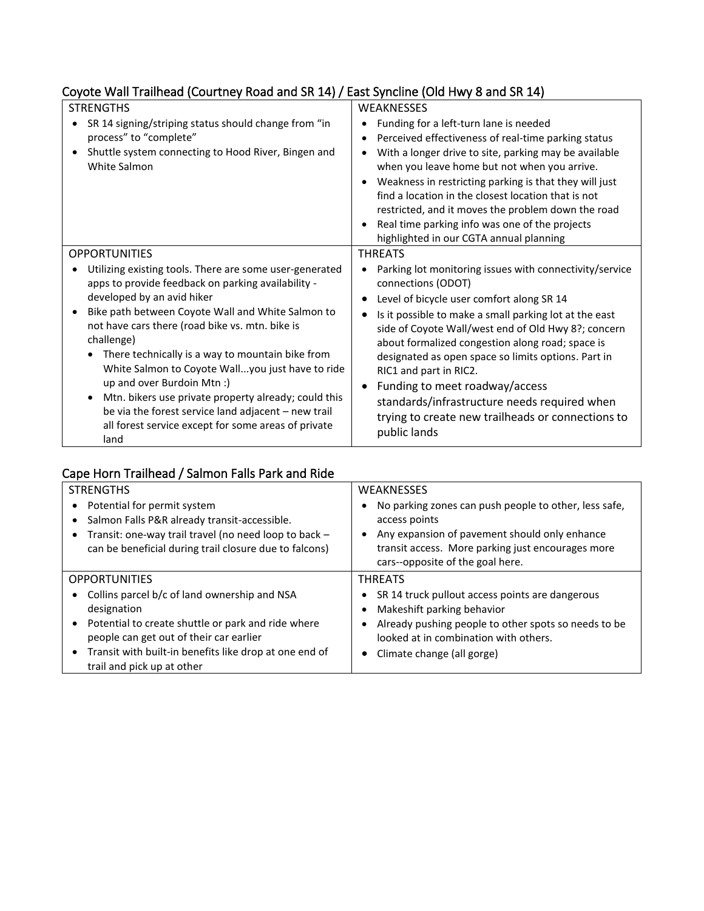# Coyote Wall Trailhead (Courtney Road and SR 14) / East Syncline (Old Hwy 8 and SR 14)

| <b>STRENGTHS</b>                                                                                                                                                                                                                                                                                                                                                                                                                                                                                                                                                                                              | <b>WEAKNESSES</b>                                                                                                                                                                                                                                                                                                                                                                                                                                                                                                                                                                        |
|---------------------------------------------------------------------------------------------------------------------------------------------------------------------------------------------------------------------------------------------------------------------------------------------------------------------------------------------------------------------------------------------------------------------------------------------------------------------------------------------------------------------------------------------------------------------------------------------------------------|------------------------------------------------------------------------------------------------------------------------------------------------------------------------------------------------------------------------------------------------------------------------------------------------------------------------------------------------------------------------------------------------------------------------------------------------------------------------------------------------------------------------------------------------------------------------------------------|
| SR 14 signing/striping status should change from "in<br>process" to "complete"<br>Shuttle system connecting to Hood River, Bingen and<br>White Salmon                                                                                                                                                                                                                                                                                                                                                                                                                                                         | Funding for a left-turn lane is needed<br>$\bullet$<br>Perceived effectiveness of real-time parking status<br>٠<br>With a longer drive to site, parking may be available<br>$\bullet$<br>when you leave home but not when you arrive.<br>Weakness in restricting parking is that they will just<br>$\bullet$<br>find a location in the closest location that is not<br>restricted, and it moves the problem down the road<br>Real time parking info was one of the projects<br>highlighted in our CGTA annual planning                                                                   |
| <b>OPPORTUNITIES</b><br>Utilizing existing tools. There are some user-generated<br>apps to provide feedback on parking availability -<br>developed by an avid hiker<br>Bike path between Coyote Wall and White Salmon to<br>not have cars there (road bike vs. mtn. bike is<br>challenge)<br>There technically is a way to mountain bike from<br>White Salmon to Coyote Wallyou just have to ride<br>up and over Burdoin Mtn :)<br>Mtn. bikers use private property already; could this<br>be via the forest service land adjacent - new trail<br>all forest service except for some areas of private<br>land | <b>THREATS</b><br>Parking lot monitoring issues with connectivity/service<br>$\bullet$<br>connections (ODOT)<br>Level of bicycle user comfort along SR 14<br>$\bullet$<br>Is it possible to make a small parking lot at the east<br>٠<br>side of Coyote Wall/west end of Old Hwy 8?; concern<br>about formalized congestion along road; space is<br>designated as open space so limits options. Part in<br>RIC1 and part in RIC2.<br>Funding to meet roadway/access<br>standards/infrastructure needs required when<br>trying to create new trailheads or connections to<br>public lands |

# Cape Horn Trailhead / Salmon Falls Park and Ride

| <b>STRENGTHS</b>                                                                                                                                  | <b>WEAKNESSES</b>                                                                                                       |
|---------------------------------------------------------------------------------------------------------------------------------------------------|-------------------------------------------------------------------------------------------------------------------------|
| Potential for permit system<br>Salmon Falls P&R already transit-accessible.<br>$\bullet$<br>Transit: one-way trail travel (no need loop to back - | No parking zones can push people to other, less safe,<br>access points<br>Any expansion of pavement should only enhance |
| can be beneficial during trail closure due to falcons)                                                                                            | transit access. More parking just encourages more<br>cars--opposite of the goal here.                                   |
| <b>OPPORTUNITIES</b>                                                                                                                              | <b>THREATS</b>                                                                                                          |
| Collins parcel b/c of land ownership and NSA<br>$\bullet$                                                                                         | SR 14 truck pullout access points are dangerous                                                                         |
| designation                                                                                                                                       | Makeshift parking behavior                                                                                              |
| Potential to create shuttle or park and ride where<br>$\bullet$                                                                                   | Already pushing people to other spots so needs to be                                                                    |
| people can get out of their car earlier                                                                                                           | looked at in combination with others.                                                                                   |
| Transit with built-in benefits like drop at one end of<br>$\bullet$<br>trail and pick up at other                                                 | Climate change (all gorge)                                                                                              |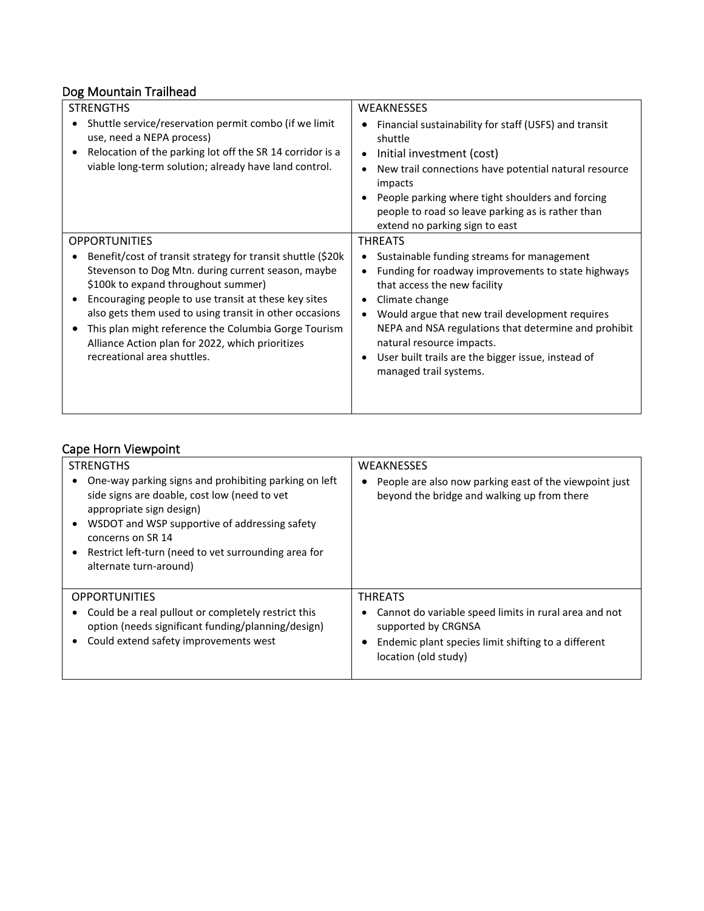# Dog Mountain Trailhead

| <b>STRENGTHS</b>                                                                                                                                                                                                                                                                                                                                                                                                                                 | <b>WEAKNESSES</b>                                                                                                                                                                                                                                                                                                                                                                                 |
|--------------------------------------------------------------------------------------------------------------------------------------------------------------------------------------------------------------------------------------------------------------------------------------------------------------------------------------------------------------------------------------------------------------------------------------------------|---------------------------------------------------------------------------------------------------------------------------------------------------------------------------------------------------------------------------------------------------------------------------------------------------------------------------------------------------------------------------------------------------|
| Shuttle service/reservation permit combo (if we limit<br>$\bullet$<br>use, need a NEPA process)<br>Relocation of the parking lot off the SR 14 corridor is a<br>$\bullet$<br>viable long-term solution; already have land control.                                                                                                                                                                                                               | Financial sustainability for staff (USFS) and transit<br>shuttle<br>Initial investment (cost)<br>$\bullet$<br>New trail connections have potential natural resource<br>impacts<br>People parking where tight shoulders and forcing<br>people to road so leave parking as is rather than<br>extend no parking sign to east                                                                         |
| <b>OPPORTUNITIES</b>                                                                                                                                                                                                                                                                                                                                                                                                                             | <b>THREATS</b>                                                                                                                                                                                                                                                                                                                                                                                    |
| Benefit/cost of transit strategy for transit shuttle (\$20k<br>$\bullet$<br>Stevenson to Dog Mtn. during current season, maybe<br>\$100k to expand throughout summer)<br>Encouraging people to use transit at these key sites<br>$\bullet$<br>also gets them used to using transit in other occasions<br>This plan might reference the Columbia Gorge Tourism<br>Alliance Action plan for 2022, which prioritizes<br>recreational area shuttles. | Sustainable funding streams for management<br>٠<br>Funding for roadway improvements to state highways<br>that access the new facility<br>Climate change<br>٠<br>Would argue that new trail development requires<br>NEPA and NSA regulations that determine and prohibit<br>natural resource impacts.<br>User built trails are the bigger issue, instead of<br>$\bullet$<br>managed trail systems. |

# Cape Horn Viewpoint

| <b>STRENGTHS</b><br>One-way parking signs and prohibiting parking on left<br>side signs are doable, cost low (need to vet<br>appropriate sign design)<br>WSDOT and WSP supportive of addressing safety<br>concerns on SR 14<br>Restrict left-turn (need to vet surrounding area for<br>alternate turn-around) | <b>WEAKNESSES</b><br>People are also now parking east of the viewpoint just<br>beyond the bridge and walking up from there                                                    |
|---------------------------------------------------------------------------------------------------------------------------------------------------------------------------------------------------------------------------------------------------------------------------------------------------------------|-------------------------------------------------------------------------------------------------------------------------------------------------------------------------------|
| <b>OPPORTUNITIES</b><br>Could be a real pullout or completely restrict this<br>option (needs significant funding/planning/design)<br>Could extend safety improvements west                                                                                                                                    | <b>THREATS</b><br>Cannot do variable speed limits in rural area and not<br>supported by CRGNSA<br>Endemic plant species limit shifting to a different<br>location (old study) |